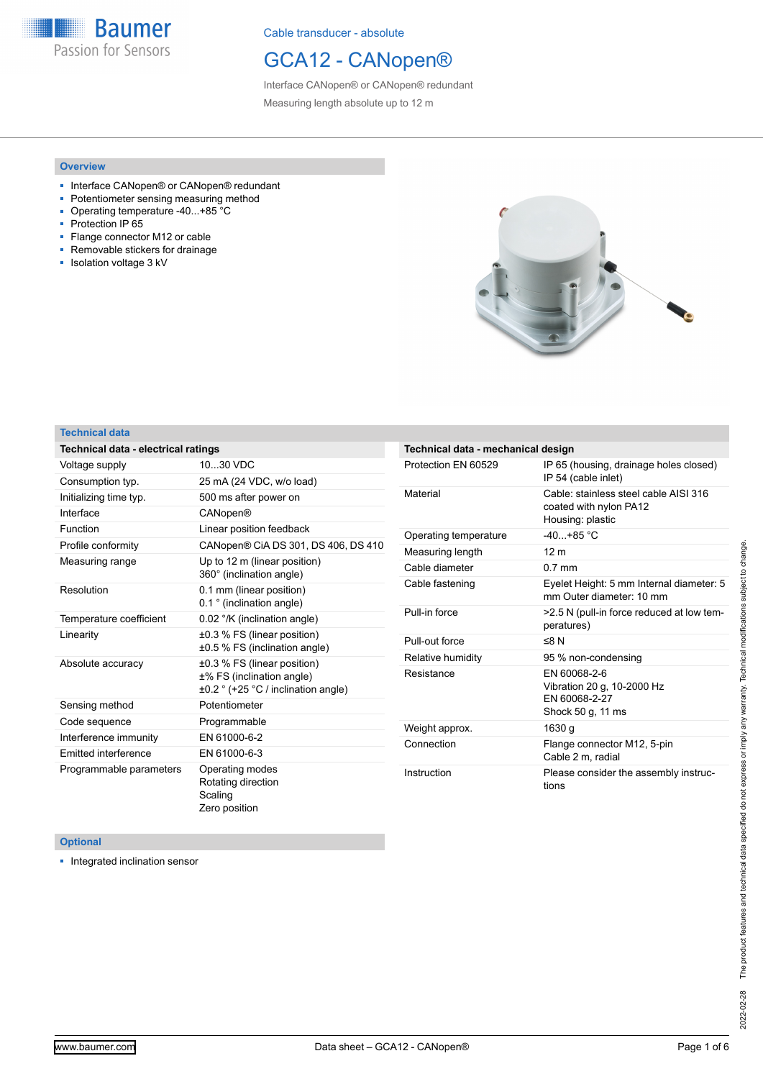**Baumer** Passion for Sensors

Cable transducer - absolute

## GCA12 - CANopen®

Interface CANopen® or CANopen® redundant Measuring length absolute up to 12 m

#### **Overview**

- Interface CANopen® or CANopen® redundant
- Potentiometer sensing measuring method
- Operating temperature -40...+85 °C<br>■ Protection IP 65
- Protection IP 65
- Flange connector M12 or cable ■ Removable stickers for drainage
- Isolation voltage 3 kV



#### **Technical data**

| <b>Technical data - electrical ratings</b> |                                                                                                 |
|--------------------------------------------|-------------------------------------------------------------------------------------------------|
| Voltage supply                             | 1030 VDC                                                                                        |
| Consumption typ.                           | 25 mA (24 VDC, w/o load)                                                                        |
| Initializing time typ.                     | 500 ms after power on                                                                           |
| Interface                                  | CANopen®                                                                                        |
| Function                                   | Linear position feedback                                                                        |
| Profile conformity                         | CANopen® CiA DS 301, DS 406, DS 410                                                             |
| Measuring range                            | Up to 12 m (linear position)<br>360° (inclination angle)                                        |
| Resolution                                 | 0.1 mm (linear position)<br>0.1 ° (inclination angle)                                           |
| Temperature coefficient                    | 0.02 °/K (inclination angle)                                                                    |
| Linearity                                  | ±0.3 % FS (linear position)<br>±0.5 % FS (inclination angle)                                    |
| Absolute accuracy                          | ±0.3 % FS (linear position)<br>±% FS (inclination angle)<br>±0.2 ° (+25 °C / inclination angle) |
| Sensing method                             | Potentiometer                                                                                   |
| Code sequence                              | Programmable                                                                                    |
| Interference immunity                      | EN 61000-6-2                                                                                    |
| Emitted interference                       | EN 61000-6-3                                                                                    |
| Programmable parameters                    | Operating modes<br>Rotating direction<br>Scaling<br>Zero position                               |

| Technical data - mechanical design |                                                                                     |
|------------------------------------|-------------------------------------------------------------------------------------|
| Protection FN 60529                | IP 65 (housing, drainage holes closed)<br>IP 54 (cable inlet)                       |
| Material                           | Cable: stainless steel cable AISI 316<br>coated with nylon PA12<br>Housing: plastic |
| Operating temperature              | $-40 + 85$ °C                                                                       |
| Measuring length                   | 12 <sub>m</sub>                                                                     |
| Cable diameter                     | $0.7$ mm                                                                            |
| Cable fastening                    | Eyelet Height: 5 mm Internal diameter: 5<br>mm Outer diameter: 10 mm                |
| Pull-in force                      | >2.5 N (pull-in force reduced at low tem-<br>peratures)                             |
| Pull-out force                     | ≤8 $N$                                                                              |
| Relative humidity                  | 95 % non-condensing                                                                 |
| Resistance                         | EN 60068-2-6<br>Vibration 20 g, 10-2000 Hz<br>FN 60068-2-27<br>Shock 50 g, 11 ms    |
| Weight approx.                     | 1630 q                                                                              |
| Connection                         | Flange connector M12, 5-pin<br>Cable 2 m, radial                                    |
| Instruction                        | Please consider the assembly instruc-<br>tions                                      |

#### **Optional**

■ Integrated inclination sensor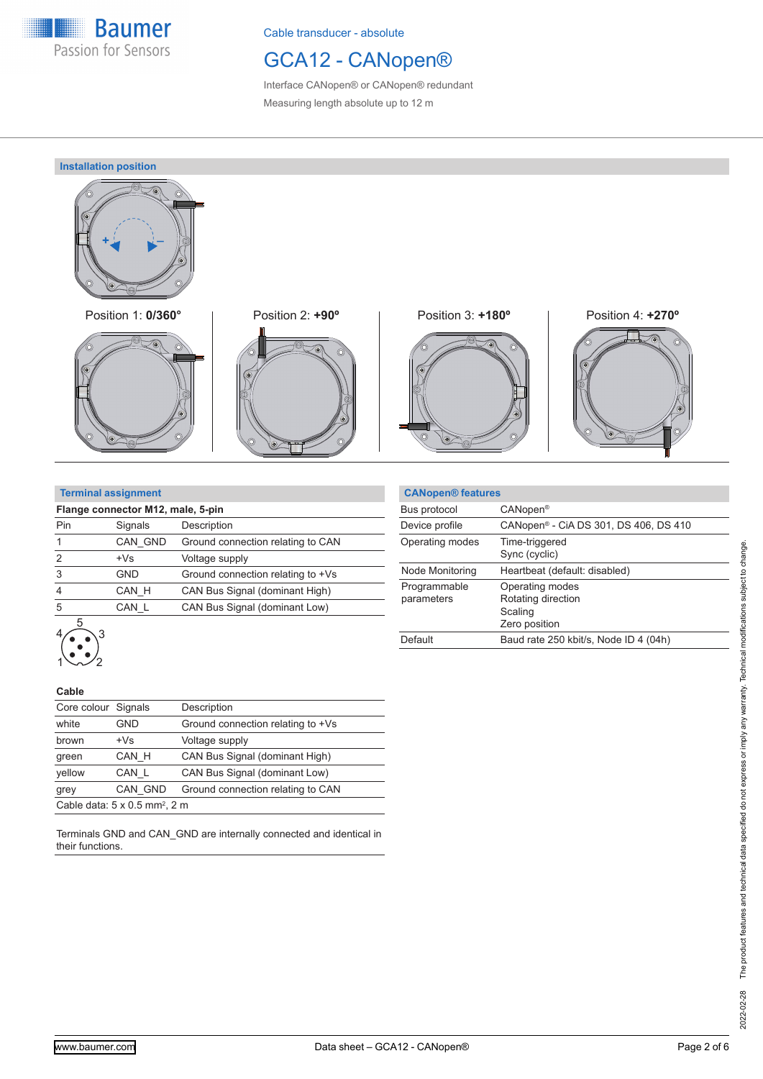

## GCA12 - CANopen®

Interface CANopen® or CANopen® redundant Measuring length absolute up to 12 m

**Installation position**



46







#### **Terminal assignment**

| Flange connector M12, male, 5-pin |            |                                   |  |  |  |  |
|-----------------------------------|------------|-----------------------------------|--|--|--|--|
| Pin                               | Signals    | Description                       |  |  |  |  |
|                                   | CAN GND    | Ground connection relating to CAN |  |  |  |  |
| $\mathfrak{p}$                    | $+Vs$      | Voltage supply                    |  |  |  |  |
| 3                                 | <b>GND</b> | Ground connection relating to +Vs |  |  |  |  |
| 4                                 | CAN H      | CAN Bus Signal (dominant High)    |  |  |  |  |
| 5                                 | CAN L      | CAN Bus Signal (dominant Low)     |  |  |  |  |
|                                   |            |                                   |  |  |  |  |

|                            | <b>CANopen® features</b> |                                                                   |
|----------------------------|--------------------------|-------------------------------------------------------------------|
| Bus protocol               |                          | CANopen <sup>®</sup>                                              |
| Device profile             |                          | CANopen <sup>®</sup> - CiA DS 301, DS 406, DS 410                 |
| Operating modes            |                          | Time-triggered<br>Sync (cyclic)                                   |
| Node Monitoring            |                          | Heartbeat (default: disabled)                                     |
| Programmable<br>parameters |                          | Operating modes<br>Rotating direction<br>Scaling<br>Zero position |
| Default                    |                          | Baud rate 250 kbit/s, Node ID 4 (04h)                             |

#### **Cable**

 $\left\langle \bullet, \bullet \right\rangle$ 

| Core colour Signals                              |            | Description                                                     |  |  |  |  |
|--------------------------------------------------|------------|-----------------------------------------------------------------|--|--|--|--|
| white                                            | <b>GND</b> | Ground connection relating to +Vs                               |  |  |  |  |
| brown                                            | $+Vs$      | Voltage supply                                                  |  |  |  |  |
| green                                            | CAN H      | CAN Bus Signal (dominant High)<br>CAN Bus Signal (dominant Low) |  |  |  |  |
| yellow                                           | CAN L      |                                                                 |  |  |  |  |
| grey                                             | CAN GND    | Ground connection relating to CAN                               |  |  |  |  |
| Cable data: $5 \times 0.5$ mm <sup>2</sup> , 2 m |            |                                                                 |  |  |  |  |

Terminals GND and CAN\_GND are internally connected and identical in their functions.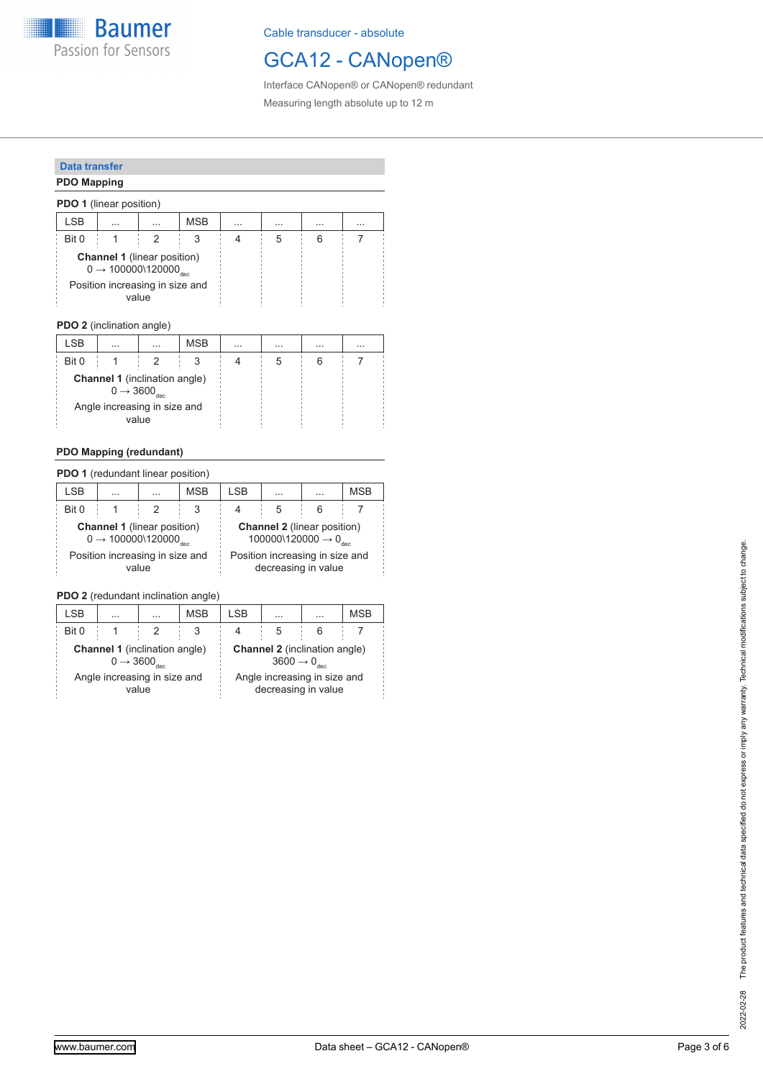**Baumer** Passion for Sensors

Cable transducer - absolute

## GCA12 - CANopen®

Interface CANopen® or CANopen® redundant Measuring length absolute up to 12 m

#### **Data transfer**

#### **PDO Mapping**

|                                          | <b>PDO 1</b> (linear position) |                                                                                     |          |          |          |   |   |  |  |
|------------------------------------------|--------------------------------|-------------------------------------------------------------------------------------|----------|----------|----------|---|---|--|--|
|                                          | <b>LSB</b>                     | $\cdots$                                                                            | $\cdots$ | $\cdots$ | $\cdots$ |   | . |  |  |
| Bit 0                                    |                                |                                                                                     |          |          |          | 5 |   |  |  |
|                                          |                                | <b>Channel 1</b> (linear position)<br>$0 \rightarrow 100000$ \120000 $_{{\rm dec}}$ |          |          |          |   |   |  |  |
| Position increasing in size and<br>value |                                |                                                                                     |          |          |          |   |   |  |  |

#### **PDO 2** (inclination angle)

| LSB                                   | $\cdots$                                                                  | $\cdots$ | <b>MSB</b> | $\cdots$ | $\cdots$ | $\cdots$ | $\cdots$ |  |
|---------------------------------------|---------------------------------------------------------------------------|----------|------------|----------|----------|----------|----------|--|
| Bit 0                                 |                                                                           |          |            |          |          |          |          |  |
|                                       | <b>Channel 1</b> (inclination angle)<br>$0 \rightarrow 3600_{\text{dec}}$ |          |            |          |          |          |          |  |
| Angle increasing in size and<br>value |                                                                           |          |            |          |          |          |          |  |

#### **PDO Mapping (redundant)**

| <b>PDO 1</b> (redundant linear position)                                                   |          |          |                                                                                    |                                                        |   |   |  |  |  |
|--------------------------------------------------------------------------------------------|----------|----------|------------------------------------------------------------------------------------|--------------------------------------------------------|---|---|--|--|--|
| <b>LSB</b>                                                                                 | $\cdots$ | $\cdots$ | <b>MSB</b>                                                                         | <b>MSB</b><br>I SB<br>$\cdots$<br>$\cdots$             |   |   |  |  |  |
| Bit 0                                                                                      |          |          | 3                                                                                  |                                                        | 5 | 6 |  |  |  |
| <b>Channel 1</b> (linear position)<br>$0 \rightarrow 100000 \setminus 120000_{\text{dec}}$ |          |          | <b>Channel 2</b> (linear position)<br>100000\120000 $\rightarrow$ 0 <sub>dec</sub> |                                                        |   |   |  |  |  |
| Position increasing in size and<br>value                                                   |          |          |                                                                                    | Position increasing in size and<br>decreasing in value |   |   |  |  |  |

### **PDO 2** (redundant inclination angle)

| LSB                                                                       | $\cdot$ $\cdot$ | $\cdots$ | <b>MSB</b>                                                                | I SB                                                | $\ddotsc$ | <b>MSB</b> |  |  |  |  |
|---------------------------------------------------------------------------|-----------------|----------|---------------------------------------------------------------------------|-----------------------------------------------------|-----------|------------|--|--|--|--|
| Bit 0                                                                     |                 |          | 3                                                                         |                                                     | 5         | 6          |  |  |  |  |
| <b>Channel 1</b> (inclination angle)<br>$0 \rightarrow 3600_{\text{dec}}$ |                 |          | <b>Channel 2</b> (inclination angle)<br>$3600 \rightarrow 0_{\text{dec}}$ |                                                     |           |            |  |  |  |  |
| Angle increasing in size and<br>value                                     |                 |          |                                                                           | Angle increasing in size and<br>decreasing in value |           |            |  |  |  |  |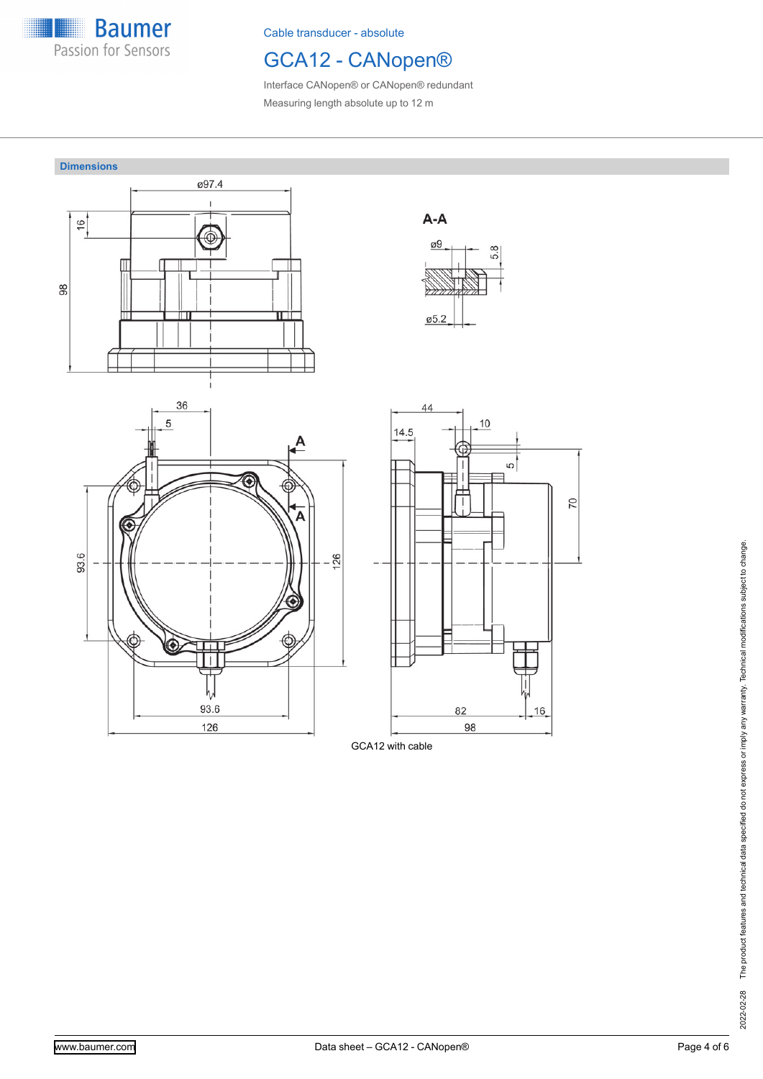

# GCA12 - CANopen®

Interface CANopen® or CANopen® redundant Measuring length absolute up to 12 m

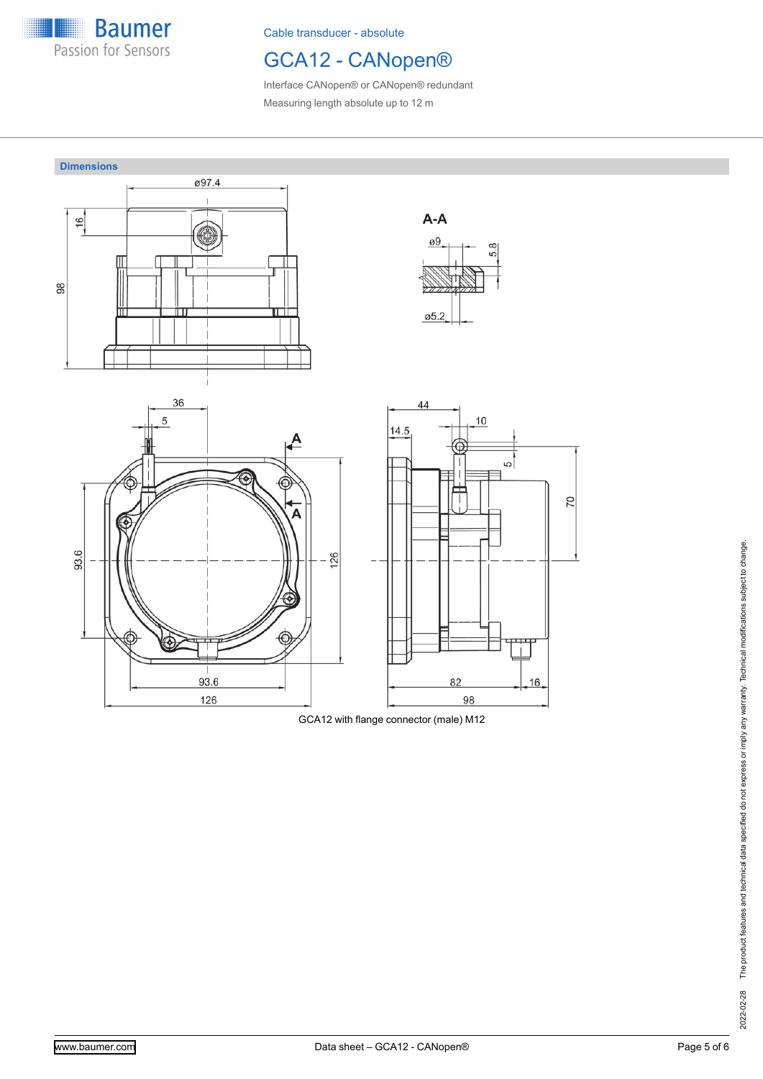

# GCA12 - CANopen®

Interface CANopen® or CANopen® redundant Measuring length absolute up to 12 m



GCA12 with flange connector (male) M12